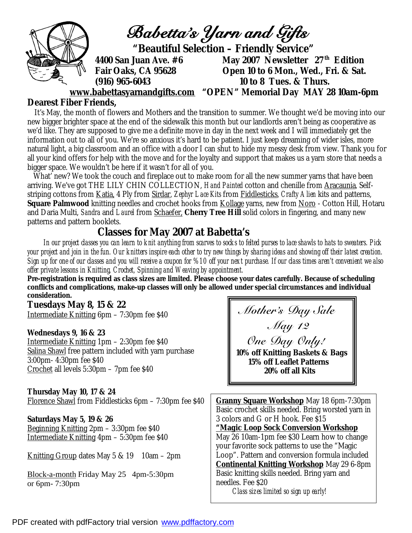

## **Dearest Fiber Friends,**

It's May, the month of flowers and Mothers and the transition to summer. We thought we'd be moving into our new bigger brighter space at the end of the sidewalk this month but our landlords aren't being as cooperative as we'd like. They are supposed to give me a definite move in day in the next week and I will immediately get the information out to all of you. We're so anxious it's hard to be patient. I just keep dreaming of wider isles, more natural light, a big classroom and an office with a door I can shut to hide my messy desk from view. Thank you for all your kind offers for help with the move and for the loyalty and support that makes us a yarn store that needs a bigger space. We wouldn't be here if it wasn't for all of you.

 What' new? We took the couch and fireplace out to make room for all the new summer yarns that have been arriving. We've got THE LILY CHIN COLLECTION, *Hand Painted* cotton and chenille from Aracaunia, Selfstriping cottons from Katia, 4 Ply from Sirdar, *Zephyr Lace Kits* from Fiddlesticks, *Crafty Alien* kits and patterns, **Square Palmwood** knitting needles and crochet hooks from Kollage yarns, new from Noro - Cotton Hill, Hotaru and Daria Multi, *Sandra* and *Laurel* from Schaefer, **Cherry Tree Hill** solid colors in fingering, and many new patterns and pattern booklets.

## **Classes for May 2007 at Babetta's**

 *In our project classes you can learn to knit anything from scarves to socks to felted purses to lace shawls to hats to sweaters. Pick your project and join in the fun. Our knitters inspire each other to try new things by sharing ideas and showing off their latest creation. Sign up for one of our classes and you will receive a coupon for %10 off your next purchase. If our class times aren't convenient we also offer private lessons in Knitting, Crochet, Spinning and Weaving by appointment.* 

**Pre-registration is required as class sizes are limited. Please choose your dates carefully. Because of scheduling conflicts and complications, make-up classes will only be allowed under special circumstances and individual consideration.** 

**Tuesdays May 8, 15 & 22**  Intermediate Knitting 6pm – 7:30pm fee \$40

**Wednesdays 9, 16 & 23**  Intermediate Knitting 1pm – 2:30pm fee \$40 Salina Shawl free pattern included with yarn purchase 3:00pm- 4:30pm fee \$40 Crochet all levels 5:30pm – 7pm fee \$40

**Thursday May 10, 17 & 24**  Florence Shawl from Fiddlesticks 6pm – 7:30pm fee \$40

**Saturdays May 5, 19 & 26**  Beginning Knitting 2pm – 3:30pm fee \$40 Intermediate Knitting 4pm – 5:30pm fee \$40

Knitting Group dates May 5 & 19 10am – 2pm

Block-a-month Friday May 25 4pm-5:30pm or 6pm- 7:30pm

 *Mother's Day Sale May 12 One Day Only! 10% off Knitting Baskets & Bags 15% off Leaflet Patterns 20% off all Kits*

**Granny Square Workshop** May 18 6pm-7:30pm Basic crochet skills needed. Bring worsted yarn in 3 colors and G or H hook. Fee \$15 **"Magic Loop Sock Conversion Workshop** May 26 10am-1pm fee \$30 Learn how to change your favorite sock patterns to use the "Magic Loop". Pattern and conversion formula included **Continental Knitting Workshop** May 29 6-8pm Basic knitting skills needed. Bring yarn and needles. Fee \$20 *Class sizes limited so sign up early!*